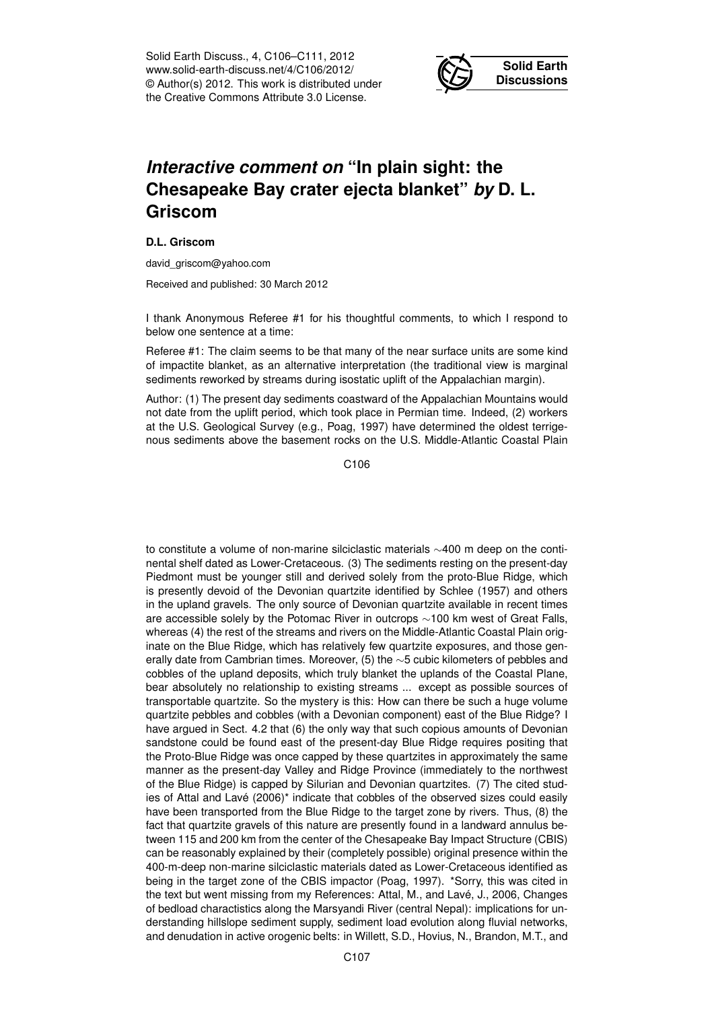Solid Earth Discuss., 4, C106–C111, 2012 www.solid-earth-discuss.net/4/C106/2012/ © Author(s) 2012. This work is distributed under the Creative Commons Attribute 3.0 License.



## *Interactive comment on* **"In plain sight: the Chesapeake Bay crater ejecta blanket"** *by* **D. L. Griscom**

## **D.L. Griscom**

david\_griscom@yahoo.com

Received and published: 30 March 2012

I thank Anonymous Referee #1 for his thoughtful comments, to which I respond to below one sentence at a time:

Referee #1: The claim seems to be that many of the near surface units are some kind of impactite blanket, as an alternative interpretation (the traditional view is marginal sediments reworked by streams during isostatic uplift of the Appalachian margin).

Author: (1) The present day sediments coastward of the Appalachian Mountains would not date from the uplift period, which took place in Permian time. Indeed, (2) workers at the U.S. Geological Survey (e.g., Poag, 1997) have determined the oldest terrigenous sediments above the basement rocks on the U.S. Middle-Atlantic Coastal Plain

C<sub>106</sub>

to constitute a volume of non-marine silciclastic materials ∼400 m deep on the continental shelf dated as Lower-Cretaceous. (3) The sediments resting on the present-day Piedmont must be younger still and derived solely from the proto-Blue Ridge, which is presently devoid of the Devonian quartzite identified by Schlee (1957) and others in the upland gravels. The only source of Devonian quartzite available in recent times are accessible solely by the Potomac River in outcrops ∼100 km west of Great Falls, whereas (4) the rest of the streams and rivers on the Middle-Atlantic Coastal Plain originate on the Blue Ridge, which has relatively few quartzite exposures, and those generally date from Cambrian times. Moreover, (5) the ∼5 cubic kilometers of pebbles and cobbles of the upland deposits, which truly blanket the uplands of the Coastal Plane, bear absolutely no relationship to existing streams ... except as possible sources of transportable quartzite. So the mystery is this: How can there be such a huge volume quartzite pebbles and cobbles (with a Devonian component) east of the Blue Ridge? I have argued in Sect. 4.2 that (6) the only way that such copious amounts of Devonian sandstone could be found east of the present-day Blue Ridge requires positing that the Proto-Blue Ridge was once capped by these quartzites in approximately the same manner as the present-day Valley and Ridge Province (immediately to the northwest of the Blue Ridge) is capped by Silurian and Devonian quartzites. (7) The cited studies of Attal and Lavé (2006)\* indicate that cobbles of the observed sizes could easily have been transported from the Blue Ridge to the target zone by rivers. Thus, (8) the fact that quartzite gravels of this nature are presently found in a landward annulus between 115 and 200 km from the center of the Chesapeake Bay Impact Structure (CBIS) can be reasonably explained by their (completely possible) original presence within the 400-m-deep non-marine silciclastic materials dated as Lower-Cretaceous identified as being in the target zone of the CBIS impactor (Poag, 1997). \*Sorry, this was cited in the text but went missing from my References: Attal, M., and Lavé, J., 2006, Changes of bedload charactistics along the Marsyandi River (central Nepal): implications for understanding hillslope sediment supply, sediment load evolution along fluvial networks, and denudation in active orogenic belts: in Willett, S.D., Hovius, N., Brandon, M.T., and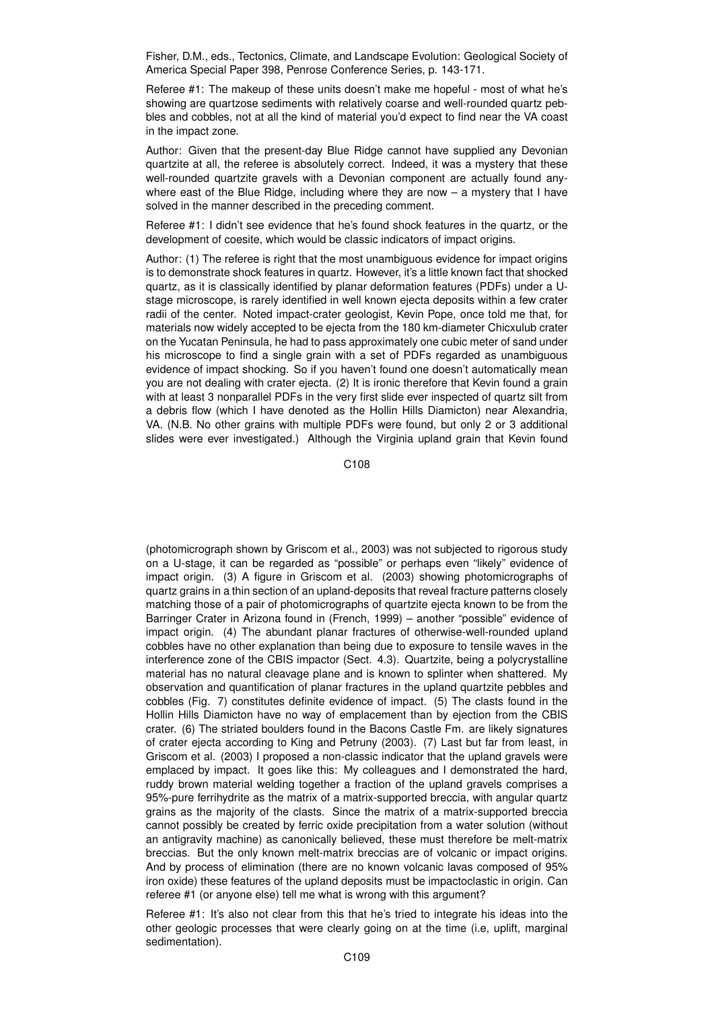Fisher, D.M., eds., Tectonics, Climate, and Landscape Evolution: Geological Society of America Special Paper 398, Penrose Conference Series, p. 143-171.

Referee #1: The makeup of these units doesn't make me hopeful - most of what he's showing are quartzose sediments with relatively coarse and well-rounded quartz pebbles and cobbles, not at all the kind of material you'd expect to find near the VA coast in the impact zone.

Author: Given that the present-day Blue Ridge cannot have supplied any Devonian quartzite at all, the referee is absolutely correct. Indeed, it was a mystery that these well-rounded quartzite gravels with a Devonian component are actually found anywhere east of the Blue Ridge, including where they are now  $-$  a mystery that I have solved in the manner described in the preceding comment.

Referee #1: I didn't see evidence that he's found shock features in the quartz, or the development of coesite, which would be classic indicators of impact origins.

Author: (1) The referee is right that the most unambiguous evidence for impact origins is to demonstrate shock features in quartz. However, it's a little known fact that shocked quartz, as it is classically identified by planar deformation features (PDFs) under a Ustage microscope, is rarely identified in well known ejecta deposits within a few crater radii of the center. Noted impact-crater geologist, Kevin Pope, once told me that, for materials now widely accepted to be ejecta from the 180 km-diameter Chicxulub crater on the Yucatan Peninsula, he had to pass approximately one cubic meter of sand under his microscope to find a single grain with a set of PDFs regarded as unambiguous evidence of impact shocking. So if you haven't found one doesn't automatically mean you are not dealing with crater ejecta. (2) It is ironic therefore that Kevin found a grain with at least 3 nonparallel PDFs in the very first slide ever inspected of quartz silt from a debris flow (which I have denoted as the Hollin Hills Diamicton) near Alexandria, VA. (N.B. No other grains with multiple PDFs were found, but only 2 or 3 additional slides were ever investigated.) Although the Virginia upland grain that Kevin found

C108

(photomicrograph shown by Griscom et al., 2003) was not subjected to rigorous study on a U-stage, it can be regarded as "possible" or perhaps even "likely" evidence of impact origin. (3) A figure in Griscom et al. (2003) showing photomicrographs of quartz grains in a thin section of an upland-deposits that reveal fracture patterns closely matching those of a pair of photomicrographs of quartzite ejecta known to be from the Barringer Crater in Arizona found in (French, 1999) – another "possible" evidence of impact origin. (4) The abundant planar fractures of otherwise-well-rounded upland cobbles have no other explanation than being due to exposure to tensile waves in the interference zone of the CBIS impactor (Sect. 4.3). Quartzite, being a polycrystalline material has no natural cleavage plane and is known to splinter when shattered. My observation and quantification of planar fractures in the upland quartzite pebbles and cobbles (Fig. 7) constitutes definite evidence of impact. (5) The clasts found in the Hollin Hills Diamicton have no way of emplacement than by ejection from the CBIS crater. (6) The striated boulders found in the Bacons Castle Fm. are likely signatures of crater ejecta according to King and Petruny (2003). (7) Last but far from least, in Griscom et al. (2003) I proposed a non-classic indicator that the upland gravels were emplaced by impact. It goes like this: My colleagues and I demonstrated the hard, ruddy brown material welding together a fraction of the upland gravels comprises a 95%-pure ferrihydrite as the matrix of a matrix-supported breccia, with angular quartz grains as the majority of the clasts. Since the matrix of a matrix-supported breccia cannot possibly be created by ferric oxide precipitation from a water solution (without an antigravity machine) as canonically believed, these must therefore be melt-matrix breccias. But the only known melt-matrix breccias are of volcanic or impact origins. And by process of elimination (there are no known volcanic lavas composed of 95% iron oxide) these features of the upland deposits must be impactoclastic in origin. Can referee #1 (or anyone else) tell me what is wrong with this argument?

Referee #1: It's also not clear from this that he's tried to integrate his ideas into the other geologic processes that were clearly going on at the time (i.e, uplift, marginal sedimentation).